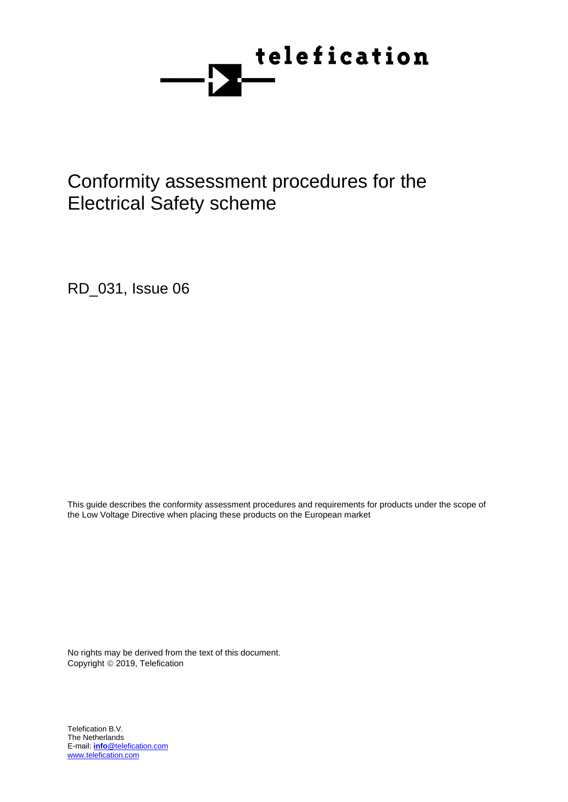

# Conformity assessment procedures for the Electrical Safety scheme

RD\_031, Issue 06

This guide describes the conformity assessment procedures and requirements for products under the scope of the Low Voltage Directive when placing these products on the European market

No rights may be derived from the text of this document. Copyright © 2019, Telefication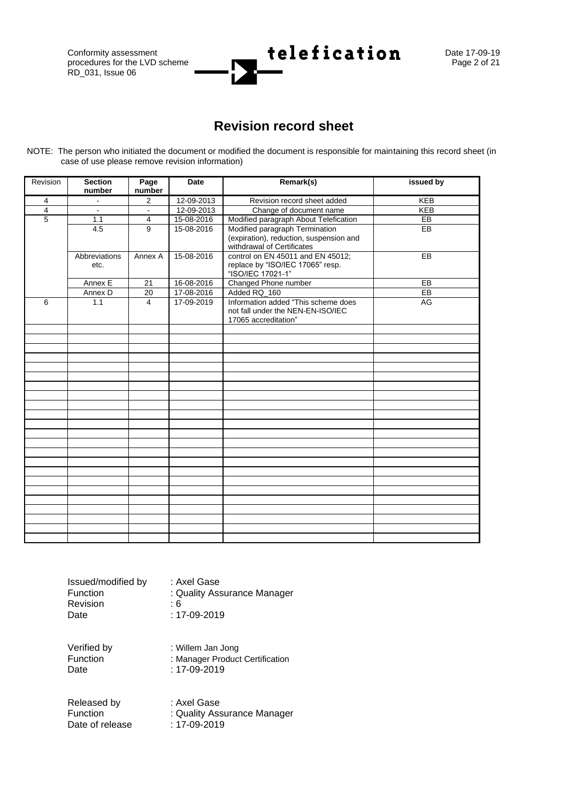procedures for the LVD scheme RD\_031, Issue 06

Conformity assessment<br>procedures for the LVD scheme **telefication** Date 17-09-19<br>Page 2 of 21

## **Revision record sheet**

<span id="page-1-0"></span>NOTE: The person who initiated the document or modified the document is responsible for maintaining this record sheet (in case of use please remove revision information)

| Revision       | <b>Section</b><br>number | Page<br>number | <b>Date</b> | Remark(s)                                                                                        | issued by  |
|----------------|--------------------------|----------------|-------------|--------------------------------------------------------------------------------------------------|------------|
| $\overline{4}$ |                          | 2              | 12-09-2013  | Revision record sheet added                                                                      | <b>KEB</b> |
| $\overline{4}$ |                          |                | 12-09-2013  | Change of document name                                                                          | <b>KEB</b> |
| $\overline{5}$ | 1.1                      | 4              | 15-08-2016  | Modified paragraph About Telefication                                                            | EB         |
|                | 4.5                      | 9              | 15-08-2016  | Modified paragraph Termination                                                                   | EB         |
|                |                          |                |             | (expiration), reduction, suspension and<br>withdrawal of Certificates                            |            |
|                | Abbreviations<br>etc.    | Annex A        | 15-08-2016  | control on EN 45011 and EN 45012;<br>replace by "ISO/IEC 17065" resp.<br>"ISO/IEC 17021-1"       | EB         |
|                | Annex E                  | 21             | 16-08-2016  | Changed Phone number                                                                             | EB         |
|                | Annex D                  | 20             | 17-08-2016  | Added RQ_160                                                                                     | $E$ B      |
| 6              | 1.1                      | $\overline{4}$ | 17-09-2019  | Information added "This scheme does<br>not fall under the NEN-EN-ISO/IEC<br>17065 accreditation" | AG         |
|                |                          |                |             |                                                                                                  |            |
|                |                          |                |             |                                                                                                  |            |
|                |                          |                |             |                                                                                                  |            |
|                |                          |                |             |                                                                                                  |            |
|                |                          |                |             |                                                                                                  |            |
|                |                          |                |             |                                                                                                  |            |
|                |                          |                |             |                                                                                                  |            |
|                |                          |                |             |                                                                                                  |            |
|                |                          |                |             |                                                                                                  |            |
|                |                          |                |             |                                                                                                  |            |
|                |                          |                |             |                                                                                                  |            |
|                |                          |                |             |                                                                                                  |            |
|                |                          |                |             |                                                                                                  |            |
|                |                          |                |             |                                                                                                  |            |
|                |                          |                |             |                                                                                                  |            |
|                |                          |                |             |                                                                                                  |            |
|                |                          |                |             |                                                                                                  |            |
|                |                          |                |             |                                                                                                  |            |
|                |                          |                |             |                                                                                                  |            |
|                |                          |                |             |                                                                                                  |            |
|                |                          |                |             |                                                                                                  |            |
|                |                          |                |             |                                                                                                  |            |
|                |                          |                |             |                                                                                                  |            |

| Issued/modified by<br><b>Function</b> | : Axel Gase<br>: Quality Assurance Manager |
|---------------------------------------|--------------------------------------------|
| <b>Revision</b>                       | : 6                                        |
| Date                                  | $: 17 - 09 - 2019$                         |

Verified by : Willem Jan Jong<br>Function : Manager Product Function : Manager Product Certification<br>Date : 17-09-2019  $: 17 - 09 - 2019$ 

Released by : Axel Gase<br>
Function : Quality Ass : Quality Assurance Manager<br>: 17-09-2019 Date of release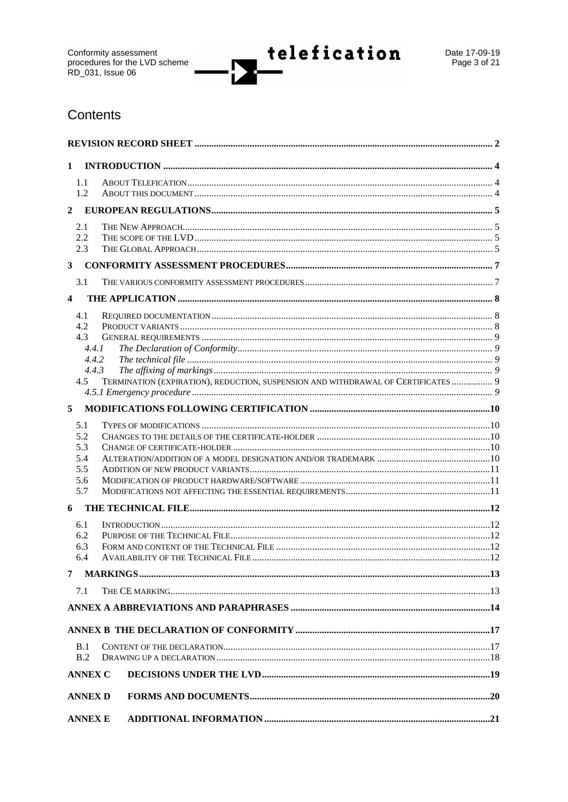telefication

r

## Contents

| $\mathbf{1}$            |                |  |                                                                                   |  |  |  |
|-------------------------|----------------|--|-----------------------------------------------------------------------------------|--|--|--|
|                         | 1.1            |  |                                                                                   |  |  |  |
|                         | 1.2            |  |                                                                                   |  |  |  |
| $\mathbf{2}$            |                |  |                                                                                   |  |  |  |
|                         | 2.1            |  |                                                                                   |  |  |  |
|                         | 2.2            |  |                                                                                   |  |  |  |
|                         | 2.3            |  |                                                                                   |  |  |  |
| $\mathbf{3}$            |                |  |                                                                                   |  |  |  |
|                         | 3.1            |  |                                                                                   |  |  |  |
| $\overline{\mathbf{4}}$ |                |  |                                                                                   |  |  |  |
|                         | 4.1            |  |                                                                                   |  |  |  |
|                         | 4.2            |  |                                                                                   |  |  |  |
|                         | 4.3            |  |                                                                                   |  |  |  |
|                         | 4.4.1          |  |                                                                                   |  |  |  |
|                         | 4.4.2          |  |                                                                                   |  |  |  |
|                         | 4.4.3          |  |                                                                                   |  |  |  |
|                         | 4.5            |  | TERMINATION (EXPIRATION), REDUCTION, SUSPENSION AND WITHDRAWAL OF CERTIFICATES  9 |  |  |  |
|                         |                |  |                                                                                   |  |  |  |
| 5                       |                |  |                                                                                   |  |  |  |
|                         | 5.1            |  |                                                                                   |  |  |  |
|                         | 5.2            |  |                                                                                   |  |  |  |
|                         | 5.3            |  |                                                                                   |  |  |  |
|                         | 5.4            |  |                                                                                   |  |  |  |
|                         | 5.5            |  |                                                                                   |  |  |  |
|                         | 5.6            |  |                                                                                   |  |  |  |
|                         | 5.7            |  |                                                                                   |  |  |  |
| 6                       |                |  |                                                                                   |  |  |  |
|                         | 6.1            |  |                                                                                   |  |  |  |
|                         | 6.2            |  |                                                                                   |  |  |  |
|                         | 6.3            |  |                                                                                   |  |  |  |
|                         | 6.4            |  |                                                                                   |  |  |  |
| 7                       |                |  |                                                                                   |  |  |  |
|                         | 7.1            |  |                                                                                   |  |  |  |
|                         |                |  |                                                                                   |  |  |  |
|                         |                |  |                                                                                   |  |  |  |
|                         |                |  |                                                                                   |  |  |  |
|                         | B.1            |  |                                                                                   |  |  |  |
|                         | B.2            |  |                                                                                   |  |  |  |
|                         | <b>ANNEX C</b> |  |                                                                                   |  |  |  |
|                         | <b>ANNEX D</b> |  |                                                                                   |  |  |  |
|                         |                |  |                                                                                   |  |  |  |
|                         | <b>ANNEX E</b> |  |                                                                                   |  |  |  |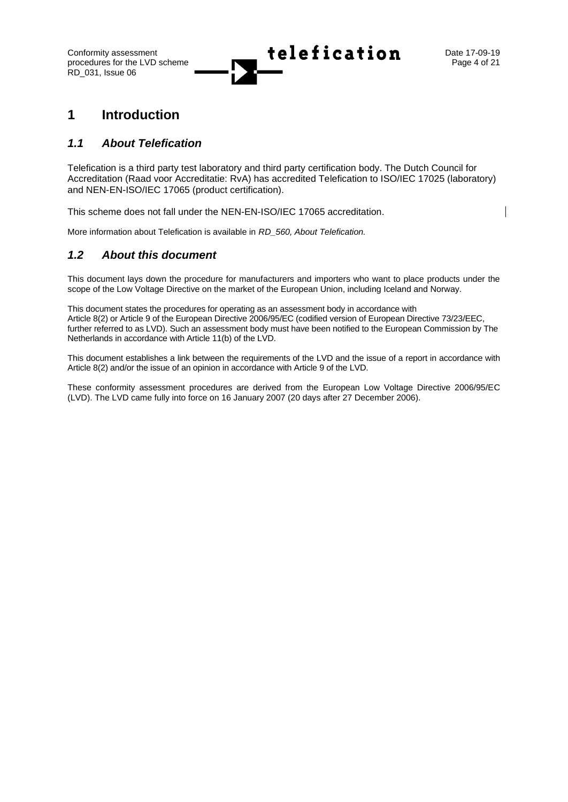Conformity assessment  $\begin{array}{ccc} \uparrow & \downarrow & \bullet & \bullet & \bullet & \bullet & \bullet & \bullet \end{array}$  Date 17-09-19

## <span id="page-3-0"></span>**1 Introduction**

### <span id="page-3-1"></span>*1.1 About Telefication*

Telefication is a third party test laboratory and third party certification body. The Dutch Council for Accreditation (Raad voor Accreditatie: RvA) has accredited Telefication to ISO/IEC 17025 (laboratory) and NEN-EN-ISO/IEC 17065 (product certification).

This scheme does not fall under the NEN-EN-ISO/IEC 17065 accreditation.

<span id="page-3-2"></span>More information about Telefication is available in *RD\_560, About Telefication.*

### *1.2 About this document*

This document lays down the procedure for manufacturers and importers who want to place products under the scope of the Low Voltage Directive on the market of the European Union, including Iceland and Norway.

This document states the procedures for operating as an assessment body in accordance with Article 8(2) or Article 9 of the European Directive 2006/95/EC (codified version of European Directive 73/23/EEC, further referred to as LVD). Such an assessment body must have been notified to the European Commission by The Netherlands in accordance with Article 11(b) of the LVD.

This document establishes a link between the requirements of the LVD and the issue of a report in accordance with Article 8(2) and/or the issue of an opinion in accordance with Article 9 of the LVD.

These conformity assessment procedures are derived from the European Low Voltage Directive 2006/95/EC (LVD). The LVD came fully into force on 16 January 2007 (20 days after 27 December 2006).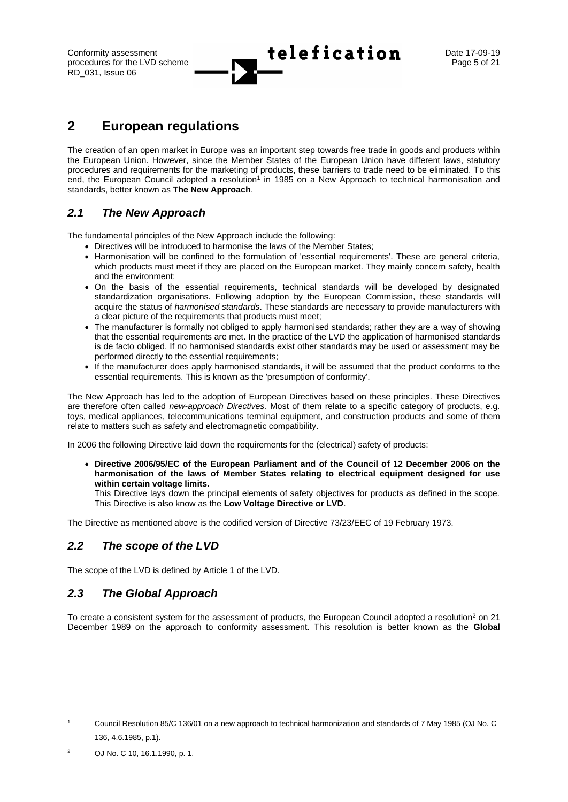## Conformity assessment  $\begin{array}{ccc} \hline \end{array}$   $\bullet$  **telefication** Date 17-09-19

## <span id="page-4-0"></span>**2 European regulations**

The creation of an open market in Europe was an important step towards free trade in goods and products within the European Union. However, since the Member States of the European Union have different laws, statutory procedures and requirements for the marketing of products, these barriers to trade need to be eliminated. To this end, the European Council adopted a resolution<sup>1</sup> in 1985 on a New Approach to technical harmonisation and standards, better known as **The New Approach**.

### <span id="page-4-1"></span>*2.1 The New Approach*

The fundamental principles of the New Approach include the following:

- Directives will be introduced to harmonise the laws of the Member States;
- Harmonisation will be confined to the formulation of 'essential requirements'. These are general criteria, which products must meet if they are placed on the European market. They mainly concern safety, health and the environment;
- On the basis of the essential requirements, technical standards will be developed by designated standardization organisations. Following adoption by the European Commission, these standards will acquire the status of *harmonised standards*. These standards are necessary to provide manufacturers with a clear picture of the requirements that products must meet;
- The manufacturer is formally not obliged to apply harmonised standards; rather they are a way of showing that the essential requirements are met. In the practice of the LVD the application of harmonised standards is de facto obliged. If no harmonised standards exist other standards may be used or assessment may be performed directly to the essential requirements;
- If the manufacturer does apply harmonised standards, it will be assumed that the product conforms to the essential requirements. This is known as the 'presumption of conformity'.

The New Approach has led to the adoption of European Directives based on these principles. These Directives are therefore often called *new-approach Directives*. Most of them relate to a specific category of products, e.g. toys, medical appliances, telecommunications terminal equipment, and construction products and some of them relate to matters such as safety and electromagnetic compatibility.

In 2006 the following Directive laid down the requirements for the (electrical) safety of products:

• **Directive 2006/95/EC of the European Parliament and of the Council of 12 December 2006 on the harmonisation of the laws of Member States relating to electrical equipment designed for use within certain voltage limits.**

This Directive lays down the principal elements of safety objectives for products as defined in the scope. This Directive is also know as the **Low Voltage Directive or LVD**.

<span id="page-4-2"></span>The Directive as mentioned above is the codified version of Directive 73/23/EEC of 19 February 1973.

### *2.2 The scope of the LVD*

<span id="page-4-3"></span>The scope of the LVD is defined by Article 1 of the LVD*.*

### *2.3 The Global Approach*

To create a consistent system for the assessment of products, the European Council adopted a resolution<sup>2</sup> on 21 December 1989 on the approach to conformity assessment. This resolution is better known as the **Global** 

<sup>1</sup> Council Resolution 85/C 136/01 on a new approach to technical harmonization and standards of 7 May 1985 (OJ No. C 136, 4.6.1985, p.1).

<sup>2</sup> OJ No. C 10, 16.1.1990, p. 1.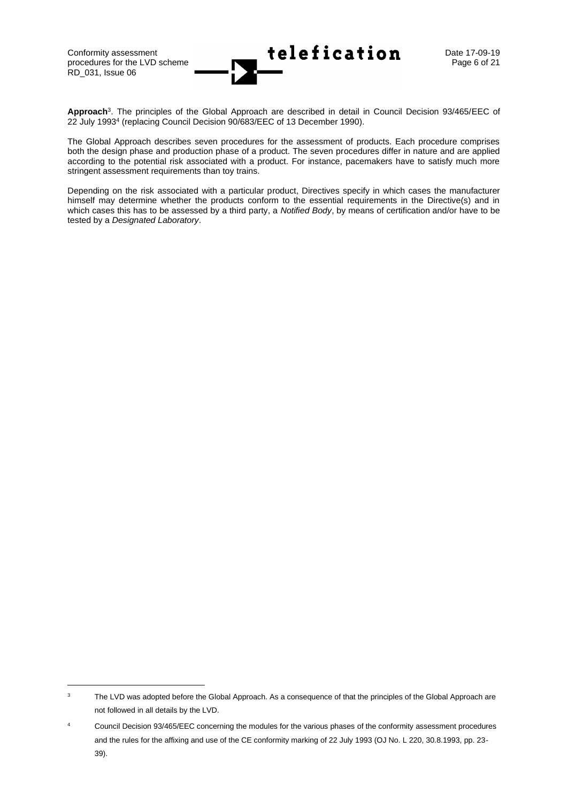RD\_031, Issue 06



**Approach**<sup>3</sup> . The principles of the Global Approach are described in detail in Council Decision 93/465/EEC of 22 July 1993<sup>4</sup> (replacing Council Decision 90/683/EEC of 13 December 1990).

The Global Approach describes seven procedures for the assessment of products. Each procedure comprises both the design phase and production phase of a product. The seven procedures differ in nature and are applied according to the potential risk associated with a product. For instance, pacemakers have to satisfy much more stringent assessment requirements than toy trains.

Depending on the risk associated with a particular product, Directives specify in which cases the manufacturer himself may determine whether the products conform to the essential requirements in the Directive(s) and in which cases this has to be assessed by a third party, a *Notified Body*, by means of certification and/or have to be tested by a *Designated Laboratory*.

<sup>&</sup>lt;sup>3</sup> The LVD was adopted before the Global Approach. As a consequence of that the principles of the Global Approach are not followed in all details by the LVD.

Council Decision 93/465/EEC concerning the modules for the various phases of the conformity assessment procedures and the rules for the affixing and use of the CE conformity marking of 22 July 1993 (OJ No. L 220, 30.8.1993, pp. 23- 39).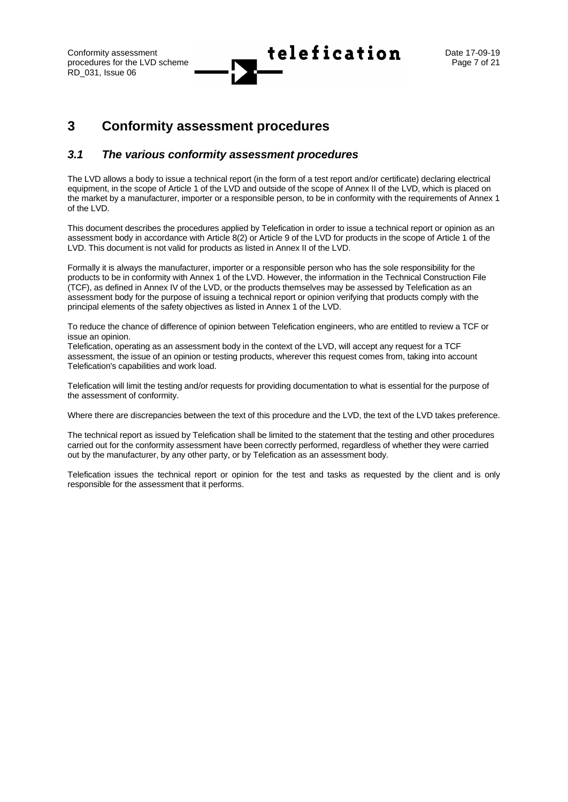### <span id="page-6-0"></span>**3 Conformity assessment procedures**

### <span id="page-6-1"></span>*3.1 The various conformity assessment procedures*

The LVD allows a body to issue a technical report (in the form of a test report and/or certificate) declaring electrical equipment, in the scope of Article 1 of the LVD and outside of the scope of Annex II of the LVD, which is placed on the market by a manufacturer, importer or a responsible person, to be in conformity with the requirements of Annex 1 of the LVD.

This document describes the procedures applied by Telefication in order to issue a technical report or opinion as an assessment body in accordance with Article 8(2) or Article 9 of the LVD for products in the scope of Article 1 of the LVD. This document is not valid for products as listed in Annex II of the LVD.

Formally it is always the manufacturer, importer or a responsible person who has the sole responsibility for the products to be in conformity with Annex 1 of the LVD. However, the information in the Technical Construction File (TCF), as defined in Annex IV of the LVD, or the products themselves may be assessed by Telefication as an assessment body for the purpose of issuing a technical report or opinion verifying that products comply with the principal elements of the safety objectives as listed in Annex 1 of the LVD.

To reduce the chance of difference of opinion between Telefication engineers, who are entitled to review a TCF or issue an opinion.

Telefication, operating as an assessment body in the context of the LVD, will accept any request for a TCF assessment, the issue of an opinion or testing products, wherever this request comes from, taking into account Telefication's capabilities and work load.

Telefication will limit the testing and/or requests for providing documentation to what is essential for the purpose of the assessment of conformity.

Where there are discrepancies between the text of this procedure and the LVD, the text of the LVD takes preference.

The technical report as issued by Telefication shall be limited to the statement that the testing and other procedures carried out for the conformity assessment have been correctly performed, regardless of whether they were carried out by the manufacturer, by any other party, or by Telefication as an assessment body.

Telefication issues the technical report or opinion for the test and tasks as requested by the client and is only responsible for the assessment that it performs.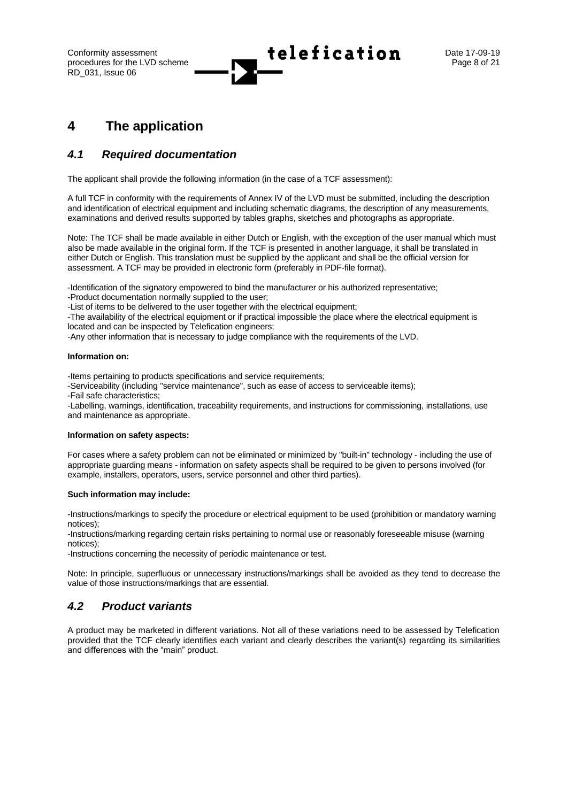Conformity assessment  $\begin{array}{ccc} \uparrow \\ \downarrow \end{array}$   $\begin{array}{ccc} \bullet & \bullet \\ \bullet & \bullet \end{array}$  **Lefication** Date 17-09-19

### <span id="page-7-0"></span>**4 The application**

### <span id="page-7-1"></span>*4.1 Required documentation*

The applicant shall provide the following information (in the case of a TCF assessment):

A full TCF in conformity with the requirements of Annex IV of the LVD must be submitted, including the description and identification of electrical equipment and including schematic diagrams, the description of any measurements, examinations and derived results supported by tables graphs, sketches and photographs as appropriate.

Note: The TCF shall be made available in either Dutch or English, with the exception of the user manual which must also be made available in the original form. If the TCF is presented in another language, it shall be translated in either Dutch or English. This translation must be supplied by the applicant and shall be the official version for assessment. A TCF may be provided in electronic form (preferably in PDF-file format).

-Identification of the signatory empowered to bind the manufacturer or his authorized representative;

-Product documentation normally supplied to the user;

-List of items to be delivered to the user together with the electrical equipment;

-The availability of the electrical equipment or if practical impossible the place where the electrical equipment is located and can be inspected by Telefication engineers;

-Any other information that is necessary to judge compliance with the requirements of the LVD.

#### **Information on:**

-Items pertaining to products specifications and service requirements;

-Serviceability (including "service maintenance", such as ease of access to serviceable items);

-Fail safe characteristics;

-Labelling, warnings, identification, traceability requirements, and instructions for commissioning, installations, use and maintenance as appropriate.

#### **Information on safety aspects:**

For cases where a safety problem can not be eliminated or minimized by "built-in" technology - including the use of appropriate guarding means - information on safety aspects shall be required to be given to persons involved (for example, installers, operators, users, service personnel and other third parties).

#### **Such information may include:**

-Instructions/markings to specify the procedure or electrical equipment to be used (prohibition or mandatory warning notices);

-Instructions/marking regarding certain risks pertaining to normal use or reasonably foreseeable misuse (warning notices);

-Instructions concerning the necessity of periodic maintenance or test.

Note: In principle, superfluous or unnecessary instructions/markings shall be avoided as they tend to decrease the value of those instructions/markings that are essential.

### <span id="page-7-2"></span>*4.2 Product variants*

A product may be marketed in different variations. Not all of these variations need to be assessed by Telefication provided that the TCF clearly identifies each variant and clearly describes the variant(s) regarding its similarities and differences with the "main" product.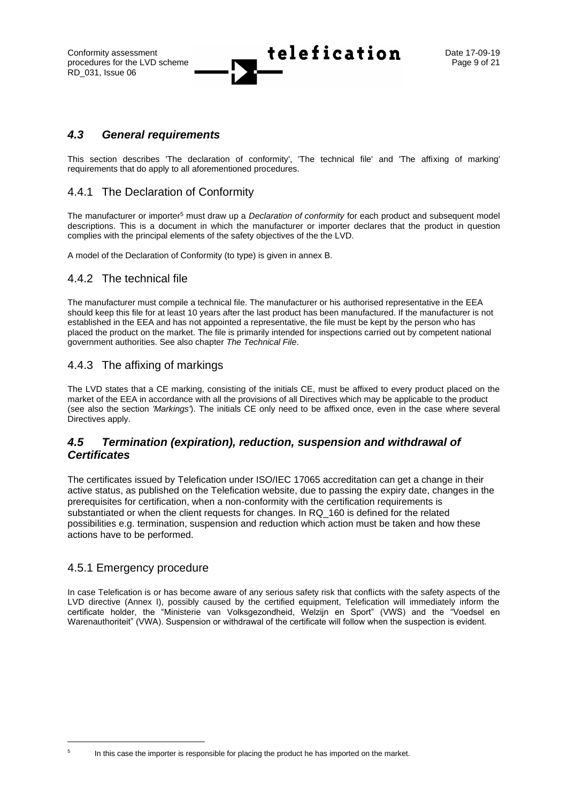Conformity assessment  $\begin{array}{ccc} \uparrow \\ \downarrow \end{array}$   $\begin{array}{ccc} \bullet & \bullet \\ \bullet & \bullet \end{array}$  **Lefication** Date 17-09-19

### <span id="page-8-0"></span>*4.3 General requirements*

This section describes 'The declaration of conformity', 'The technical file' and 'The affixing of marking' requirements that do apply to all aforementioned procedures.

### <span id="page-8-1"></span>4.4.1 The Declaration of Conformity

The manufacturer or importer<sup>5</sup> must draw up a *Declaration of conformity* for each product and subsequent model descriptions. This is a document in which the manufacturer or importer declares that the product in question complies with the principal elements of the safety objectives of the the LVD.

<span id="page-8-2"></span>A model of the Declaration of Conformity (to type) is given in annex B.

### 4.4.2 The technical file

The manufacturer must compile a technical file. The manufacturer or his authorised representative in the EEA should keep this file for at least 10 years after the last product has been manufactured. If the manufacturer is not established in the EEA and has not appointed a representative, the file must be kept by the person who has placed the product on the market. The file is primarily intended for inspections carried out by competent national government authorities. See also chapter *The Technical File*.

### <span id="page-8-3"></span>4.4.3 The affixing of markings

The LVD states that a CE marking, consisting of the initials CE, must be affixed to every product placed on the market of the EEA in accordance with all the provisions of all Directives which may be applicable to the product (see also the section *'Markings'*). The initials CE only need to be affixed once, even in the case where several Directives apply.

### <span id="page-8-4"></span>*4.5 Termination (expiration), reduction, suspension and withdrawal of Certificates*

The certificates issued by Telefication under ISO/IEC 17065 accreditation can get a change in their active status, as published on the Telefication website, due to passing the expiry date, changes in the prerequisites for certification, when a non-conformity with the certification requirements is substantiated or when the client requests for changes. In RQ\_160 is defined for the related possibilities e.g. termination, suspension and reduction which action must be taken and how these actions have to be performed.

### <span id="page-8-5"></span>4.5.1 Emergency procedure

In case Telefication is or has become aware of any serious safety risk that conflicts with the safety aspects of the LVD directive (Annex I), possibly caused by the certified equipment. Telefication will immediately inform the certificate holder, the "Ministerie van Volksgezondheid, Welzijn en Sport" (VWS) and the "Voedsel en Warenauthoriteit" (VWA). Suspension or withdrawal of the certificate will follow when the suspection is evident.

5

In this case the importer is responsible for placing the product he has imported on the market.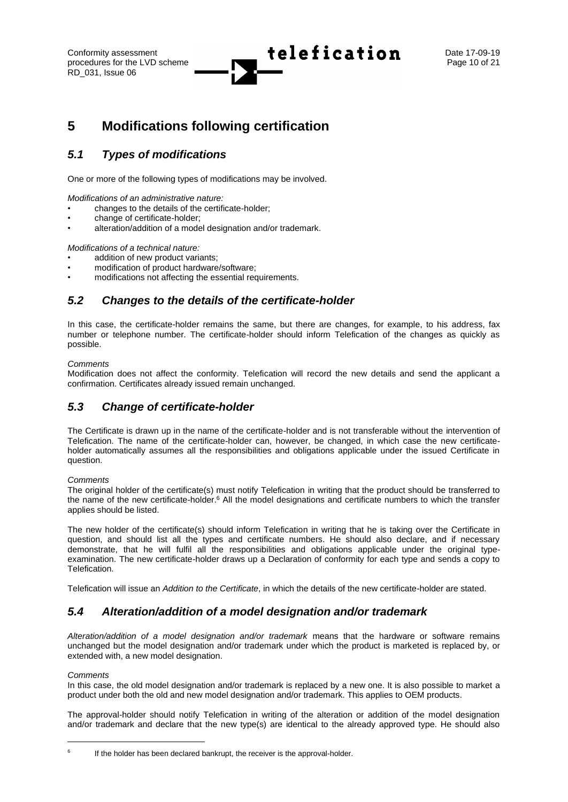Conformity assessment  $\begin{array}{ccc} \hline \end{array}$  **telefication** Date 17-09-19

## <span id="page-9-0"></span>**5 Modifications following certification**

### <span id="page-9-1"></span>*5.1 Types of modifications*

One or more of the following types of modifications may be involved.

*Modifications of an administrative nature:*

- changes to the details of the certificate-holder;
- change of certificate-holder;
- alteration/addition of a model designation and/or trademark.

*Modifications of a technical nature:*

- addition of new product variants:
- modification of product hardware/software;
- <span id="page-9-2"></span>modifications not affecting the essential requirements.

### *5.2 Changes to the details of the certificate-holder*

In this case, the certificate-holder remains the same, but there are changes, for example, to his address, fax number or telephone number. The certificate-holder should inform Telefication of the changes as quickly as possible.

#### *Comments*

Modification does not affect the conformity. Telefication will record the new details and send the applicant a confirmation. Certificates already issued remain unchanged.

### <span id="page-9-3"></span>*5.3 Change of certificate-holder*

The Certificate is drawn up in the name of the certificate-holder and is not transferable without the intervention of Telefication. The name of the certificate-holder can, however, be changed, in which case the new certificateholder automatically assumes all the responsibilities and obligations applicable under the issued Certificate in question.

#### *Comments*

The original holder of the certificate(s) must notify Telefication in writing that the product should be transferred to the name of the new certificate-holder.<sup>6</sup> All the model designations and certificate numbers to which the transfer applies should be listed.

The new holder of the certificate(s) should inform Telefication in writing that he is taking over the Certificate in question, and should list all the types and certificate numbers. He should also declare, and if necessary demonstrate, that he will fulfil all the responsibilities and obligations applicable under the original typeexamination. The new certificate-holder draws up a Declaration of conformity for each type and sends a copy to Telefication.

<span id="page-9-4"></span>Telefication will issue an *Addition to the Certificate*, in which the details of the new certificate-holder are stated.

### *5.4 Alteration/addition of a model designation and/or trademark*

*Alteration/addition of a model designation and/or trademark* means that the hardware or software remains unchanged but the model designation and/or trademark under which the product is marketed is replaced by, or extended with, a new model designation.

#### *Comments*

In this case, the old model designation and/or trademark is replaced by a new one. It is also possible to market a product under both the old and new model designation and/or trademark. This applies to OEM products.

The approval-holder should notify Telefication in writing of the alteration or addition of the model designation and/or trademark and declare that the new type(s) are identical to the already approved type. He should also

<sup>6</sup> If the holder has been declared bankrupt, the receiver is the approval-holder.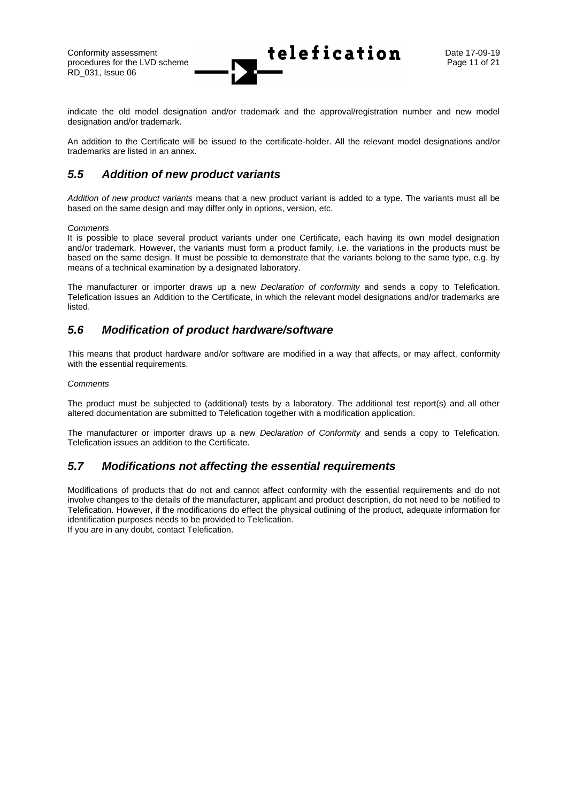RD\_031, Issue 06

Conformity assessment Date 17-09-19 procedures for the LVD scheme  $\blacksquare$ 

indicate the old model designation and/or trademark and the approval/registration number and new model designation and/or trademark.

An addition to the Certificate will be issued to the certificate-holder. All the relevant model designations and/or trademarks are listed in an annex.

### <span id="page-10-0"></span>*5.5 Addition of new product variants*

*Addition of new product variants* means that a new product variant is added to a type. The variants must all be based on the same design and may differ only in options, version, etc.

#### *Comments*

It is possible to place several product variants under one Certificate, each having its own model designation and/or trademark. However, the variants must form a product family, i.e. the variations in the products must be based on the same design. It must be possible to demonstrate that the variants belong to the same type, e.g. by means of a technical examination by a designated laboratory.

The manufacturer or importer draws up a new *Declaration of conformity* and sends a copy to Telefication. Telefication issues an Addition to the Certificate, in which the relevant model designations and/or trademarks are listed.

### <span id="page-10-1"></span>*5.6 Modification of product hardware/software*

This means that product hardware and/or software are modified in a way that affects, or may affect, conformity with the essential requirements.

#### *Comments*

The product must be subjected to (additional) tests by a laboratory. The additional test report(s) and all other altered documentation are submitted to Telefication together with a modification application.

The manufacturer or importer draws up a new *Declaration of Conformity* and sends a copy to Telefication. Telefication issues an addition to the Certificate.

### <span id="page-10-2"></span>*5.7 Modifications not affecting the essential requirements*

Modifications of products that do not and cannot affect conformity with the essential requirements and do not involve changes to the details of the manufacturer, applicant and product description, do not need to be notified to Telefication. However, if the modifications do effect the physical outlining of the product, adequate information for identification purposes needs to be provided to Telefication. If you are in any doubt, contact Telefication.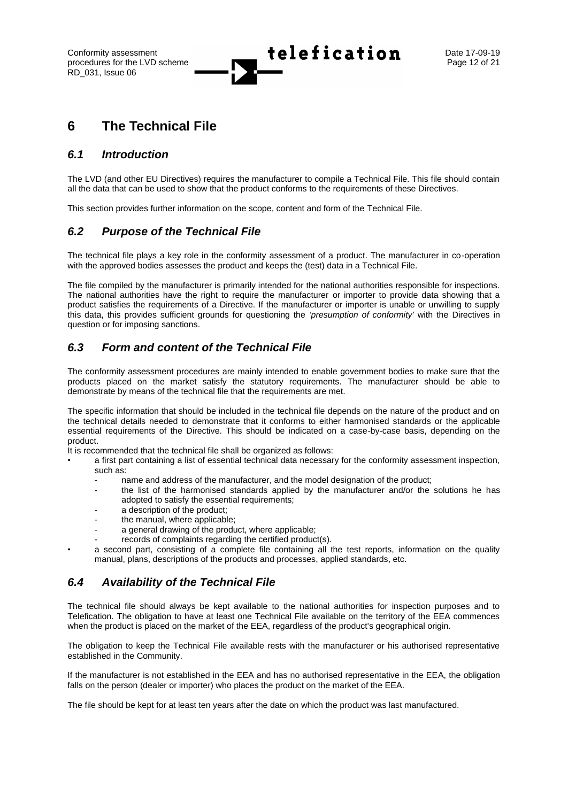Conformity assessment Date 17-09-19

## <span id="page-11-0"></span>**6 The Technical File**

### <span id="page-11-1"></span>*6.1 Introduction*

The LVD (and other EU Directives) requires the manufacturer to compile a Technical File. This file should contain all the data that can be used to show that the product conforms to the requirements of these Directives.

<span id="page-11-2"></span>This section provides further information on the scope, content and form of the Technical File.

### *6.2 Purpose of the Technical File*

The technical file plays a key role in the conformity assessment of a product. The manufacturer in co-operation with the approved bodies assesses the product and keeps the (test) data in a Technical File.

The file compiled by the manufacturer is primarily intended for the national authorities responsible for inspections. The national authorities have the right to require the manufacturer or importer to provide data showing that a product satisfies the requirements of a Directive. If the manufacturer or importer is unable or unwilling to supply this data, this provides sufficient grounds for questioning the *'presumption of conformity'* with the Directives in question or for imposing sanctions.

### <span id="page-11-3"></span>*6.3 Form and content of the Technical File*

The conformity assessment procedures are mainly intended to enable government bodies to make sure that the products placed on the market satisfy the statutory requirements. The manufacturer should be able to demonstrate by means of the technical file that the requirements are met.

The specific information that should be included in the technical file depends on the nature of the product and on the technical details needed to demonstrate that it conforms to either harmonised standards or the applicable essential requirements of the Directive. This should be indicated on a case-by-case basis, depending on the product.

It is recommended that the technical file shall be organized as follows:

- a first part containing a list of essential technical data necessary for the conformity assessment inspection, such as:
	- name and address of the manufacturer, and the model designation of the product;
	- the list of the harmonised standards applied by the manufacturer and/or the solutions he has adopted to satisfy the essential requirements;
	- a description of the product;
	- the manual, where applicable;
	- a general drawing of the product, where applicable:
	- records of complaints regarding the certified product(s).
	- a second part, consisting of a complete file containing all the test reports, information on the quality manual, plans, descriptions of the products and processes, applied standards, etc.

### <span id="page-11-4"></span>*6.4 Availability of the Technical File*

The technical file should always be kept available to the national authorities for inspection purposes and to Telefication. The obligation to have at least one Technical File available on the territory of the EEA commences when the product is placed on the market of the EEA, regardless of the product's geographical origin.

The obligation to keep the Technical File available rests with the manufacturer or his authorised representative established in the Community.

If the manufacturer is not established in the EEA and has no authorised representative in the EEA, the obligation falls on the person (dealer or importer) who places the product on the market of the EEA.

The file should be kept for at least ten years after the date on which the product was last manufactured.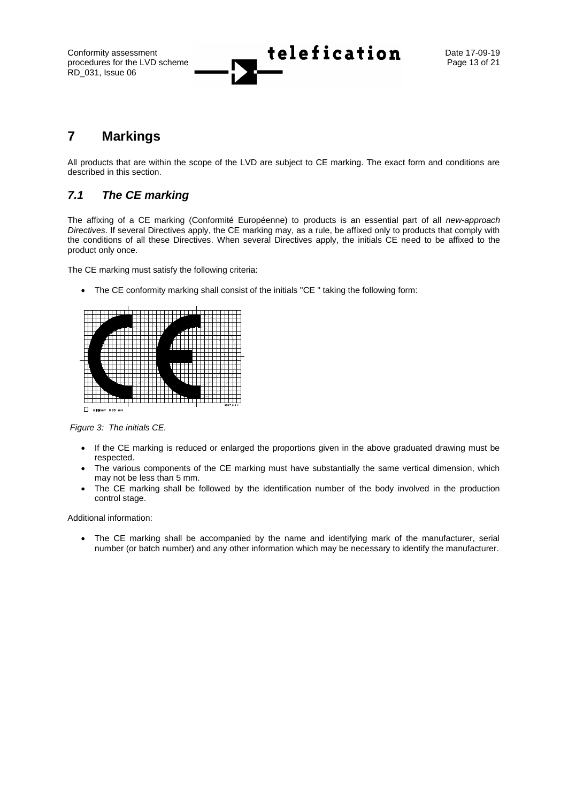Conformity assessment **Lelefication** Date 17-09-19

## <span id="page-12-0"></span>**7 Markings**

All products that are within the scope of the LVD are subject to CE marking. The exact form and conditions are described in this section.

### <span id="page-12-1"></span>*7.1 The CE marking*

The affixing of a CE marking (Conformité Européenne) to products is an essential part of all *new-approach Directives*. If several Directives apply, the CE marking may, as a rule, be affixed only to products that comply with the conditions of all these Directives. When several Directives apply, the initials CE need to be affixed to the product only once.

The CE marking must satisfy the following criteria:

• The CE conformity marking shall consist of the initials "CE " taking the following form:



*Figure 3: The initials CE.*

- If the CE marking is reduced or enlarged the proportions given in the above graduated drawing must be respected.
- The various components of the CE marking must have substantially the same vertical dimension, which may not be less than 5 mm.
- The CE marking shall be followed by the identification number of the body involved in the production control stage.

Additional information:

The CE marking shall be accompanied by the name and identifying mark of the manufacturer, serial number (or batch number) and any other information which may be necessary to identify the manufacturer.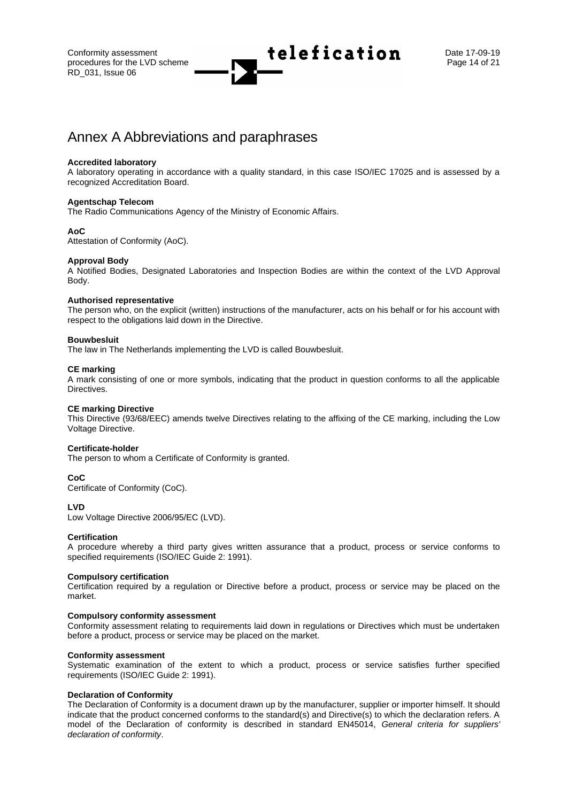Conformity assessment  $\begin{array}{ccc} \hline \end{array}$  **telefication** Date 17-09-19

## <span id="page-13-0"></span>Annex A Abbreviations and paraphrases

#### **Accredited laboratory**

A laboratory operating in accordance with a quality standard, in this case ISO/IEC 17025 and is assessed by a recognized Accreditation Board.

#### **Agentschap Telecom**

The Radio Communications Agency of the Ministry of Economic Affairs.

#### **AoC**

Attestation of Conformity (AoC).

#### **Approval Body**

A Notified Bodies, Designated Laboratories and Inspection Bodies are within the context of the LVD Approval Body.

#### **Authorised representative**

The person who, on the explicit (written) instructions of the manufacturer, acts on his behalf or for his account with respect to the obligations laid down in the Directive.

#### **Bouwbesluit**

The law in The Netherlands implementing the LVD is called Bouwbesluit.

#### **CE marking**

A mark consisting of one or more symbols, indicating that the product in question conforms to all the applicable Directives.

#### **CE marking Directive**

This Directive (93/68/EEC) amends twelve Directives relating to the affixing of the CE marking, including the Low Voltage Directive.

#### **Certificate-holder**

The person to whom a Certificate of Conformity is granted.

#### **CoC**

Certificate of Conformity (CoC).

#### **LVD**

Low Voltage Directive 2006/95/EC (LVD).

#### **Certification**

A procedure whereby a third party gives written assurance that a product, process or service conforms to specified requirements (ISO/IEC Guide 2: 1991).

#### **Compulsory certification**

Certification required by a regulation or Directive before a product, process or service may be placed on the market.

#### **Compulsory conformity assessment**

Conformity assessment relating to requirements laid down in regulations or Directives which must be undertaken before a product, process or service may be placed on the market.

#### **Conformity assessment**

Systematic examination of the extent to which a product, process or service satisfies further specified requirements (ISO/IEC Guide 2: 1991).

#### **Declaration of Conformity**

The Declaration of Conformity is a document drawn up by the manufacturer, supplier or importer himself. It should indicate that the product concerned conforms to the standard(s) and Directive(s) to which the declaration refers. A model of the Declaration of conformity is described in standard EN45014, *General criteria for suppliers' declaration of conformity*.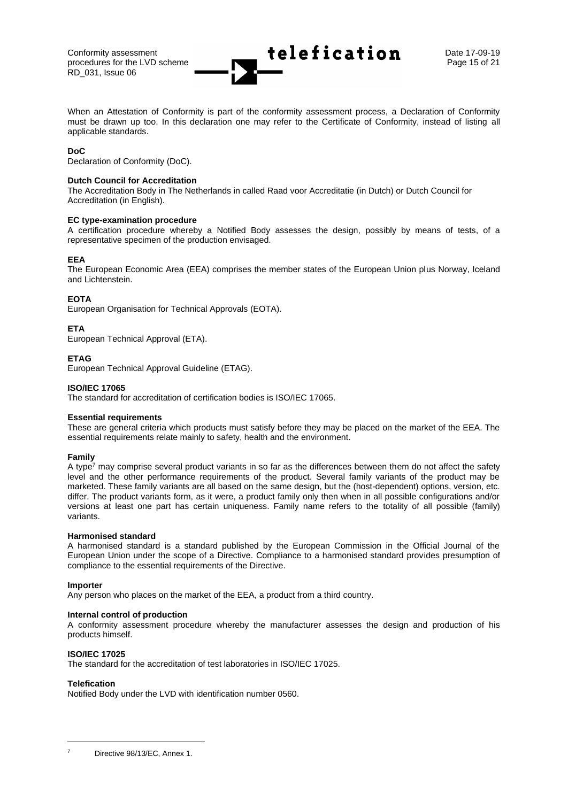When an Attestation of Conformity is part of the conformity assessment process, a Declaration of Conformity must be drawn up too. In this declaration one may refer to the Certificate of Conformity, instead of listing all applicable standards.

#### **DoC**

Declaration of Conformity (DoC).

#### **Dutch Council for Accreditation**

The Accreditation Body in The Netherlands in called Raad voor Accreditatie (in Dutch) or Dutch Council for Accreditation (in English).

#### **EC type-examination procedure**

A certification procedure whereby a Notified Body assesses the design, possibly by means of tests, of a representative specimen of the production envisaged.

#### **EEA**

The European Economic Area (EEA) comprises the member states of the European Union plus Norway, Iceland and Lichtenstein.

#### **EOTA**

European Organisation for Technical Approvals (EOTA).

#### **ETA**

European Technical Approval (ETA).

#### **ETAG**

European Technical Approval Guideline (ETAG).

#### **ISO/IEC 17065**

The standard for accreditation of certification bodies is ISO/IEC 17065.

#### **Essential requirements**

These are general criteria which products must satisfy before they may be placed on the market of the EEA. The essential requirements relate mainly to safety, health and the environment.

#### **Family**

A type<sup>7</sup> may comprise several product variants in so far as the differences between them do not affect the safety level and the other performance requirements of the product. Several family variants of the product may be marketed. These family variants are all based on the same design, but the (host-dependent) options, version, etc. differ. The product variants form, as it were, a product family only then when in all possible configurations and/or versions at least one part has certain uniqueness. Family name refers to the totality of all possible (family) variants.

#### **Harmonised standard**

A harmonised standard is a standard published by the European Commission in the Official Journal of the European Union under the scope of a Directive. Compliance to a harmonised standard provides presumption of compliance to the essential requirements of the Directive.

#### **Importer**

Any person who places on the market of the EEA, a product from a third country.

#### **Internal control of production**

A conformity assessment procedure whereby the manufacturer assesses the design and production of his products himself.

#### **ISO/IEC 17025**

The standard for the accreditation of test laboratories in ISO/IEC 17025.

#### **Telefication**

Notified Body under the LVD with identification number 0560.

Directive 98/13/EC, Annex 1.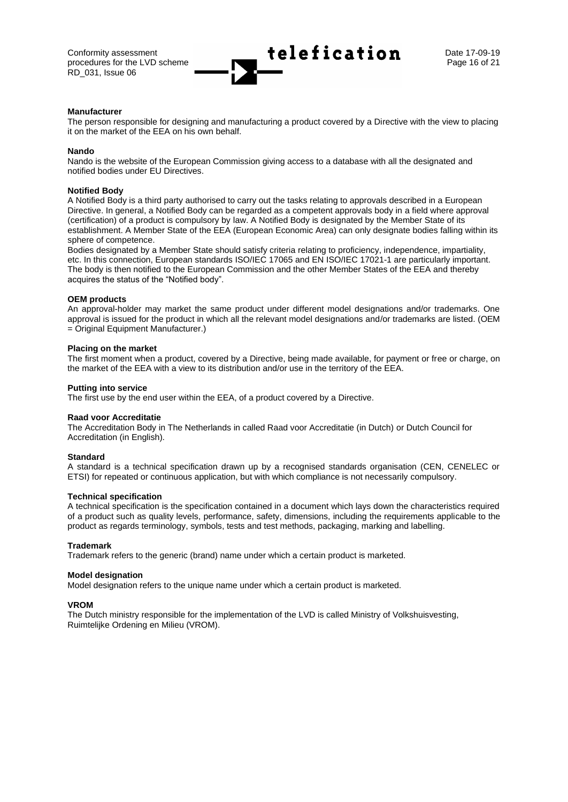Conformity assessment  $\begin{array}{ccc} \uparrow \\ \downarrow \end{array}$  **telefication** Date 17-09-19

#### **Manufacturer**

The person responsible for designing and manufacturing a product covered by a Directive with the view to placing it on the market of the EEA on his own behalf.

#### **Nando**

Nando is the website of the European Commission giving access to a database with all the designated and notified bodies under EU Directives.

#### **Notified Body**

A Notified Body is a third party authorised to carry out the tasks relating to approvals described in a European Directive. In general, a Notified Body can be regarded as a competent approvals body in a field where approval (certification) of a product is compulsory by law. A Notified Body is designated by the Member State of its establishment. A Member State of the EEA (European Economic Area) can only designate bodies falling within its sphere of competence.

Bodies designated by a Member State should satisfy criteria relating to proficiency, independence, impartiality, etc. In this connection, European standards ISO/IEC 17065 and EN ISO/IEC 17021-1 are particularly important. The body is then notified to the European Commission and the other Member States of the EEA and thereby acquires the status of the "Notified body".

#### **OEM products**

An approval-holder may market the same product under different model designations and/or trademarks. One approval is issued for the product in which all the relevant model designations and/or trademarks are listed. (OEM = Original Equipment Manufacturer.)

#### **Placing on the market**

The first moment when a product, covered by a Directive, being made available, for payment or free or charge, on the market of the EEA with a view to its distribution and/or use in the territory of the EEA.

#### **Putting into service**

The first use by the end user within the EEA, of a product covered by a Directive.

#### **Raad voor Accreditatie**

The Accreditation Body in The Netherlands in called Raad voor Accreditatie (in Dutch) or Dutch Council for Accreditation (in English).

#### **Standard**

A standard is a technical specification drawn up by a recognised standards organisation (CEN, CENELEC or ETSI) for repeated or continuous application, but with which compliance is not necessarily compulsory.

#### **Technical specification**

A technical specification is the specification contained in a document which lays down the characteristics required of a product such as quality levels, performance, safety, dimensions, including the requirements applicable to the product as regards terminology, symbols, tests and test methods, packaging, marking and labelling.

#### **Trademark**

Trademark refers to the generic (brand) name under which a certain product is marketed.

#### **Model designation**

Model designation refers to the unique name under which a certain product is marketed.

#### **VROM**

The Dutch ministry responsible for the implementation of the LVD is called Ministry of Volkshuisvesting, Ruimtelijke Ordening en Milieu (VROM).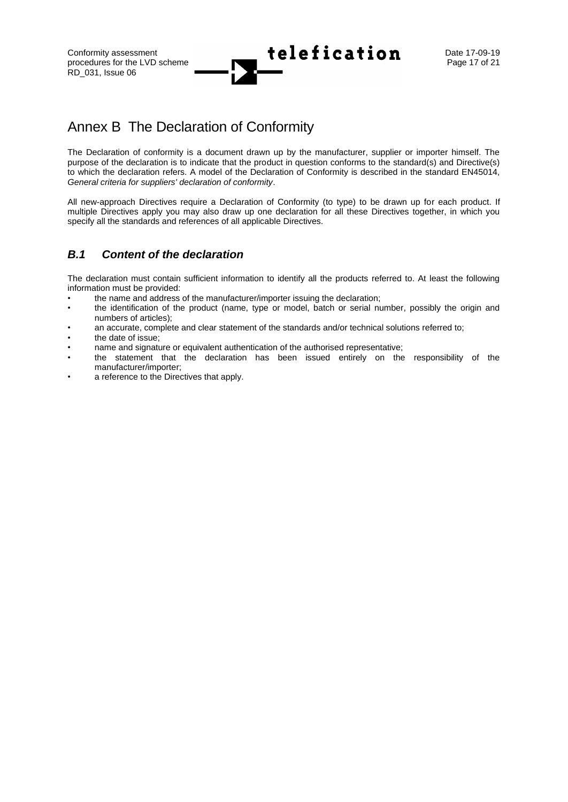Conformity assessment Date 17-09-19

## <span id="page-16-0"></span>Annex B The Declaration of Conformity

The Declaration of conformity is a document drawn up by the manufacturer, supplier or importer himself. The purpose of the declaration is to indicate that the product in question conforms to the standard(s) and Directive(s) to which the declaration refers. A model of the Declaration of Conformity is described in the standard EN45014, *General criteria for suppliers' declaration of conformity*.

All new-approach Directives require a Declaration of Conformity (to type) to be drawn up for each product. If multiple Directives apply you may also draw up one declaration for all these Directives together, in which you specify all the standards and references of all applicable Directives.

### <span id="page-16-1"></span>*B.1 Content of the declaration*

The declaration must contain sufficient information to identify all the products referred to. At least the following information must be provided:

- the name and address of the manufacturer/importer issuing the declaration;
- the identification of the product (name, type or model, batch or serial number, possibly the origin and numbers of articles);
- an accurate, complete and clear statement of the standards and/or technical solutions referred to;
- the date of issue;
- name and signature or equivalent authentication of the authorised representative;
- the statement that the declaration has been issued entirely on the responsibility of the manufacturer/importer;
- a reference to the Directives that apply.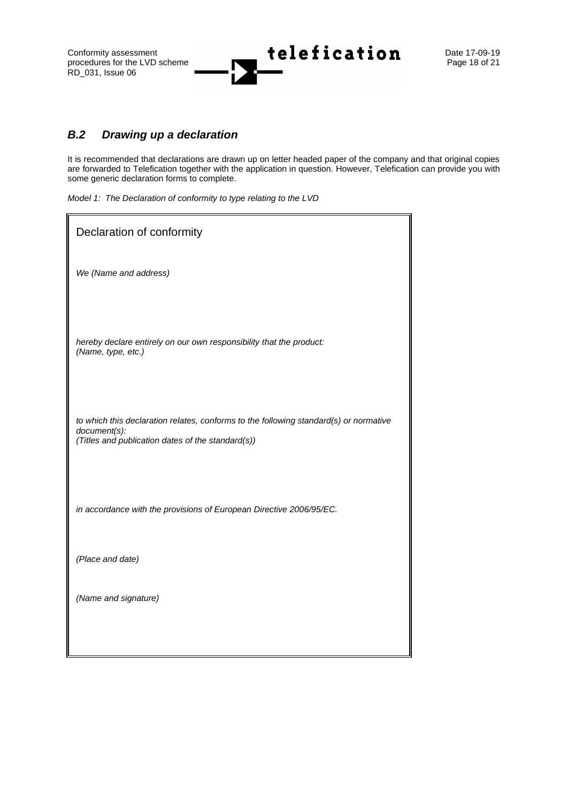Conformity assessment<br>procedures for the LVD scheme **telefication** Date 17-09-19<br>Page 18 of 21 procedures for the LVD scheme RD\_031, Issue 06

### <span id="page-17-0"></span>*B.2 Drawing up a declaration*

It is recommended that declarations are drawn up on letter headed paper of the company and that original copies are forwarded to Telefication together with the application in question. However, Telefication can provide you with some generic declaration forms to complete.

*Model 1: The Declaration of conformity to type relating to the LVD*

| Declaration of conformity                                                                                                                                  |  |  |  |  |
|------------------------------------------------------------------------------------------------------------------------------------------------------------|--|--|--|--|
| We (Name and address)                                                                                                                                      |  |  |  |  |
| hereby declare entirely on our own responsibility that the product:<br>(Name, type, etc.)                                                                  |  |  |  |  |
| to which this declaration relates, conforms to the following standard(s) or normative<br>document(s):<br>(Titles and publication dates of the standard(s)) |  |  |  |  |
| in accordance with the provisions of European Directive 2006/95/EC.                                                                                        |  |  |  |  |
| (Place and date)                                                                                                                                           |  |  |  |  |
| (Name and signature)                                                                                                                                       |  |  |  |  |
|                                                                                                                                                            |  |  |  |  |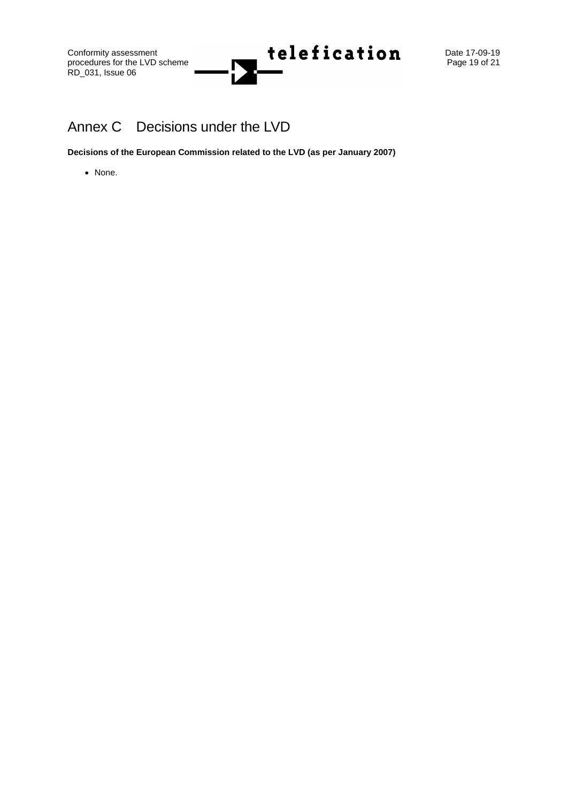procedures for the LVD scheme RD\_031, Issue 06

## <span id="page-18-0"></span>Annex C Decisions under the LVD

**Decisions of the European Commission related to the LVD (as per January 2007)**

• None.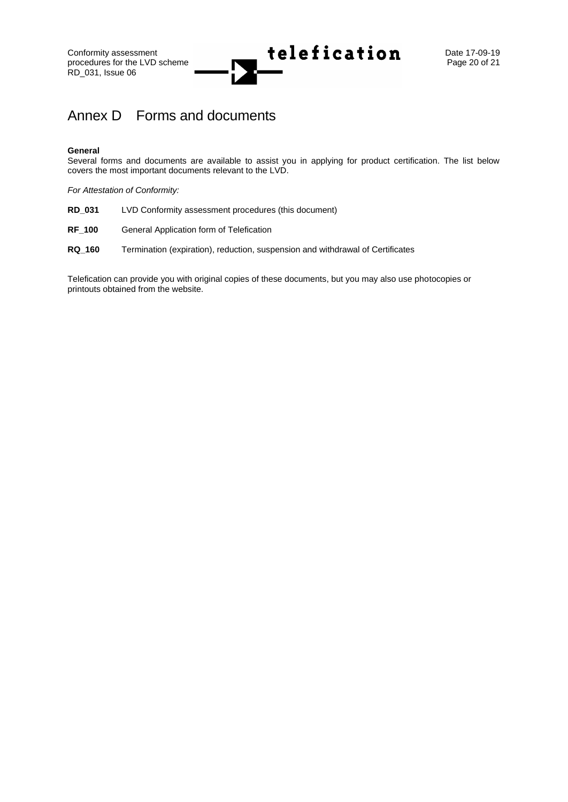procedures for the LVD scheme RD\_031, Issue 06

# Conformity assessment<br>procedures for the LVD scheme **telefication** Date 17-09-19

## <span id="page-19-0"></span>Annex D Forms and documents

#### **General**

Several forms and documents are available to assist you in applying for product certification. The list below covers the most important documents relevant to the LVD.

*For Attestation of Conformity:*

- **RD\_031** LVD Conformity assessment procedures (this document)
- **RF\_100** General Application form of Telefication
- **RQ\_160** Termination (expiration), reduction, suspension and withdrawal of Certificates

Telefication can provide you with original copies of these documents, but you may also use photocopies or printouts obtained from the website.